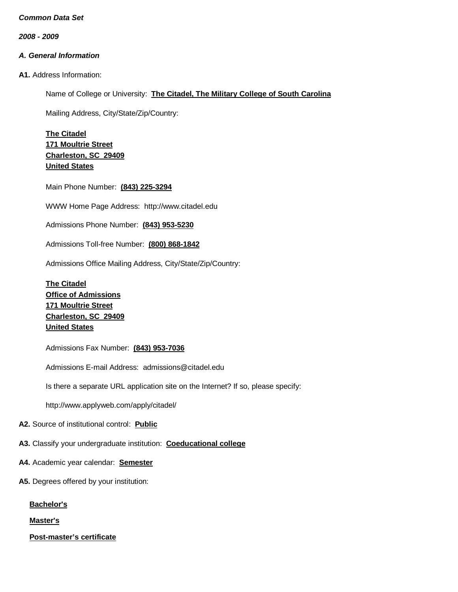*2008 - 2009*

## *A. General Information*

**A1.** Address Information:

Name of College or University: **The Citadel, The Military College of South Carolina**

Mailing Address, City/State/Zip/Country:

**The Citadel 171 Moultrie Street Charleston, SC 29409 United States**

Main Phone Number: **(843) 225-3294**

WWW Home Page Address: [http://www.citadel.edu](http://www.citadel.edu/)

Admissions Phone Number: **(843) 953-5230**

Admissions Toll-free Number: **(800) 868-1842**

Admissions Office Mailing Address, City/State/Zip/Country:

**The Citadel Office of Admissions 171 Moultrie Street Charleston, SC 29409 United States**

Admissions Fax Number: **(843) 953-7036**

Admissions E-mail Address: [admissions@citadel.edu](mailto:admissions@citadel.edu)

Is there a separate URL application site on the Internet? If so, please specify:

[http://www.applyweb.com/apply/citadel/](http://www.citadel.edu/admission/cadmission/cadapplication.html)

**A2.** Source of institutional control: **Public**

**A3.** Classify your undergraduate institution: **Coeducational college**

- **A4.** Academic year calendar: **Semester**
- **A5.** Degrees offered by your institution:

**Bachelor's**

**Master's**

**Post-master's certificate**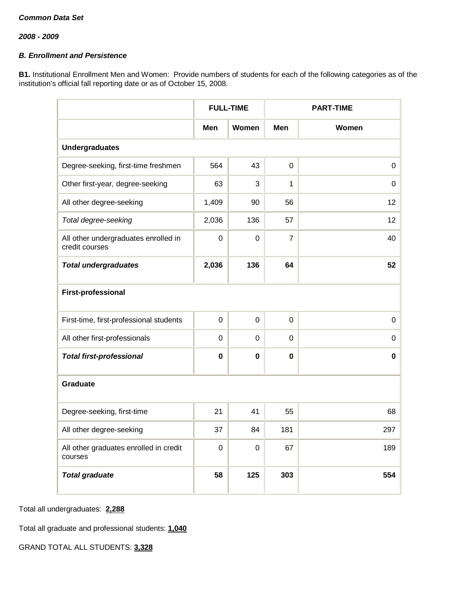## *B. Enrollment and Persistence*

**B1.** Institutional Enrollment Men and Women: Provide numbers of students for each of the following categories as of the institution's official fall reporting date or as of October 15, 2008.

|                                                        |             | <b>FULL-TIME</b> | <b>PART-TIME</b> |       |
|--------------------------------------------------------|-------------|------------------|------------------|-------|
|                                                        | Men         | Women            | <b>Men</b>       | Women |
| <b>Undergraduates</b>                                  |             |                  |                  |       |
| Degree-seeking, first-time freshmen                    | 564         | 43               | 0                | 0     |
| Other first-year, degree-seeking                       | 63          | 3                | 1                | 0     |
| All other degree-seeking                               | 1,409       | 90               | 56               | 12    |
| Total degree-seeking                                   | 2,036       | 136              | 57               | 12    |
| All other undergraduates enrolled in<br>credit courses | $\mathbf 0$ | $\mathbf 0$      | $\overline{7}$   | 40    |
| <b>Total undergraduates</b>                            | 2,036       | 136              | 64               | 52    |
| <b>First-professional</b>                              |             |                  |                  |       |
| First-time, first-professional students                | $\mathbf 0$ | $\mathbf 0$      | 0                | 0     |
| All other first-professionals                          | $\mathbf 0$ | 0                | 0                | 0     |
| <b>Total first-professional</b>                        | $\bf{0}$    | $\mathbf 0$      | $\pmb{0}$        | 0     |
| <b>Graduate</b>                                        |             |                  |                  |       |
| Degree-seeking, first-time                             | 21          | 41               | 55               | 68    |
| All other degree-seeking                               | 37          | 84               | 181              | 297   |
| All other graduates enrolled in credit<br>courses      | $\mathbf 0$ | $\mathbf 0$      | 67               | 189   |
| <b>Total graduate</b>                                  | 58          | 125              | 303              | 554   |

Total all undergraduates: **2,288**

Total all graduate and professional students: **1,040**

GRAND TOTAL ALL STUDENTS: **3,328**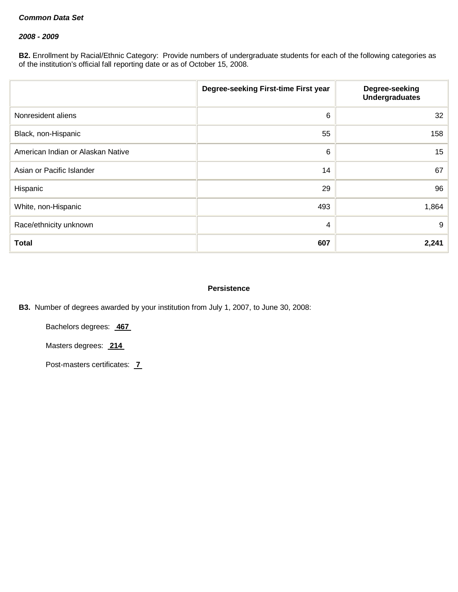### *2008 - 2009*

**B2.** Enrollment by Racial/Ethnic Category: Provide numbers of undergraduate students for each of the following categories as of the institution's official fall reporting date or as of October 15, 2008.

|                                   | Degree-seeking First-time First year | Degree-seeking<br><b>Undergraduates</b> |
|-----------------------------------|--------------------------------------|-----------------------------------------|
| Nonresident aliens                | 6                                    | 32                                      |
| Black, non-Hispanic               | 55                                   | 158                                     |
| American Indian or Alaskan Native | $\,6\,$                              | 15 <sub>15</sub>                        |
| Asian or Pacific Islander         | 14                                   | 67                                      |
| Hispanic                          | 29                                   | 96                                      |
| White, non-Hispanic               | 493                                  | 1,864                                   |
| Race/ethnicity unknown            | 4                                    | 9                                       |
| <b>Total</b>                      | 607                                  | 2,241                                   |

### **Persistence**

**B3.** Number of degrees awarded by your institution from July 1, 2007, to June 30, 2008:

Bachelors degrees: **467**

Masters degrees: **214**

Post-masters certificates: **7**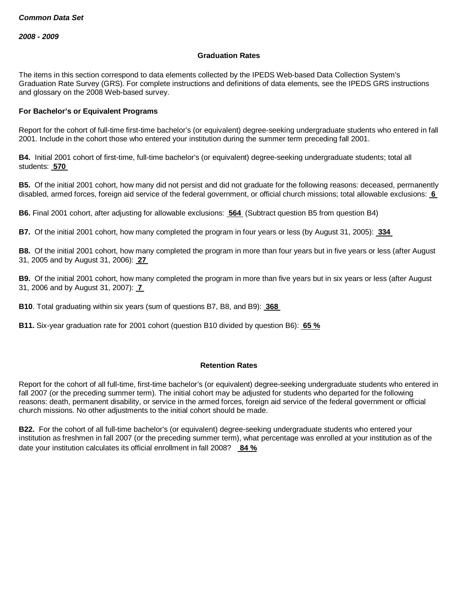#### **Graduation Rates**

The items in this section correspond to data elements collected by the IPEDS Web-based Data Collection System's Graduation Rate Survey (GRS). For complete instructions and definitions of data elements, see the IPEDS GRS instructions and glossary on the 2008 Web-based survey.

### **For Bachelor's or Equivalent Programs**

Report for the cohort of full-time first-time bachelor's (or equivalent) degree-seeking undergraduate students who entered in fall 2001. Include in the cohort those who entered your institution during the summer term preceding fall 2001.

**B4.** Initial 2001 cohort of first-time, full-time bachelor's (or equivalent) degree-seeking undergraduate students; total all students: **570**

**B5.** Of the initial 2001 cohort, how many did not persist and did not graduate for the following reasons: deceased, permanently disabled, armed forces, foreign aid service of the federal government, or official church missions; total allowable exclusions: **6**

**B6.** Final 2001 cohort, after adjusting for allowable exclusions: **564** (Subtract question B5 from question B4)

**B7.** Of the initial 2001 cohort, how many completed the program in four years or less (by August 31, 2005): **334**

**B8.** Of the initial 2001 cohort, how many completed the program in more than four years but in five years or less (after August 31, 2005 and by August 31, 2006): **27**

**B9.** Of the initial 2001 cohort, how many completed the program in more than five years but in six years or less (after August 31, 2006 and by August 31, 2007): **7**

**B10**. Total graduating within six years (sum of questions B7, B8, and B9): **368**

**B11.** Six-year graduation rate for 2001 cohort (question B10 divided by question B6): **65 %**

#### **Retention Rates**

Report for the cohort of all full-time, first-time bachelor's (or equivalent) degree-seeking undergraduate students who entered in fall 2007 (or the preceding summer term). The initial cohort may be adjusted for students who departed for the following reasons: death, permanent disability, or service in the armed forces, foreign aid service of the federal government or official church missions. No other adjustments to the initial cohort should be made.

**B22.** For the cohort of all full-time bachelor's (or equivalent) degree-seeking undergraduate students who entered your institution as freshmen in fall 2007 (or the preceding summer term), what percentage was enrolled at your institution as of the date your institution calculates its official enrollment in fall 2008? **84 %**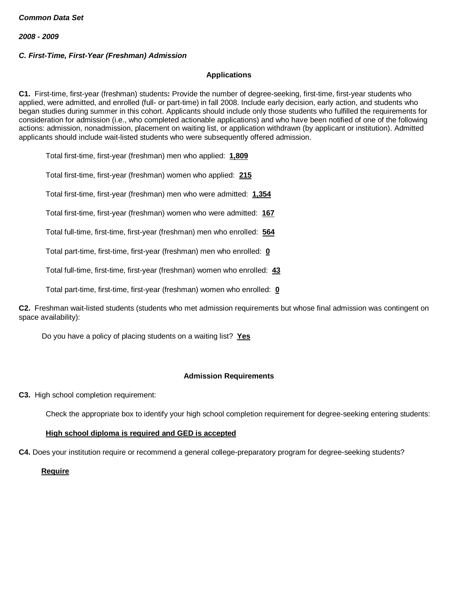## *C. First-Time, First-Year (Freshman) Admission*

## **Applications**

**C1.** First-time, first-year (freshman) students**:** Provide the number of degree-seeking, first-time, first-year students who applied, were admitted, and enrolled (full- or part-time) in fall 2008. Include early decision, early action, and students who began studies during summer in this cohort. Applicants should include only those students who fulfilled the requirements for consideration for admission (i.e., who completed actionable applications) and who have been notified of one of the following actions: admission, nonadmission, placement on waiting list, or application withdrawn (by applicant or institution). Admitted applicants should include wait-listed students who were subsequently offered admission.

Total first-time, first-year (freshman) men who applied: **1,809**

Total first-time, first-year (freshman) women who applied: **215**

Total first-time, first-year (freshman) men who were admitted: **1,354**

Total first-time, first-year (freshman) women who were admitted: **167**

Total full-time, first-time, first-year (freshman) men who enrolled: **564**

Total part-time, first-time, first-year (freshman) men who enrolled: **0**

Total full-time, first-time, first-year (freshman) women who enrolled: **43**

Total part-time, first-time, first-year (freshman) women who enrolled: **0**

**C2.** Freshman wait-listed students (students who met admission requirements but whose final admission was contingent on space availability):

Do you have a policy of placing students on a waiting list? **Yes**

## **Admission Requirements**

**C3.** High school completion requirement:

Check the appropriate box to identify your high school completion requirement for degree-seeking entering students:

## **High school diploma is required and GED is accepted**

**C4.** Does your institution require or recommend a general college-preparatory program for degree-seeking students?

 **Require**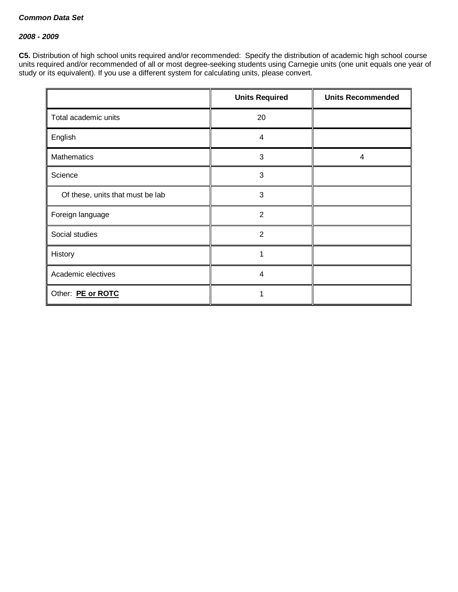### *2008 - 2009*

**C5.** Distribution of high school units required and/or recommended: Specify the distribution of academic high school course units required and/or recommended of all or most degree-seeking students using Carnegie units (one unit equals one year of study or its equivalent). If you use a different system for calculating units, please convert.

|                                  | <b>Units Required</b> | <b>Units Recommended</b> |
|----------------------------------|-----------------------|--------------------------|
| Total academic units             | 20                    |                          |
| English                          | $\overline{4}$        |                          |
| <b>Mathematics</b>               | $\mathbf{3}$          | 4                        |
| Science                          | 3                     |                          |
| Of these, units that must be lab | 3                     |                          |
| Foreign language                 | $\overline{2}$        |                          |
| Social studies                   | $\overline{2}$        |                          |
| History                          |                       |                          |
| Academic electives               | 4                     |                          |
| Other: PE or ROTC                |                       |                          |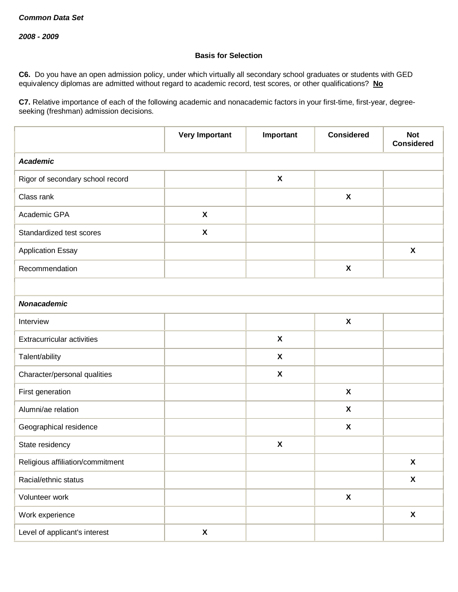### **Basis for Selection**

**C6.** Do you have an open admission policy, under which virtually all secondary school graduates or students with GED equivalency diplomas are admitted without regard to academic record, test scores, or other qualifications? **No**

**C7.** Relative importance of each of the following academic and nonacademic factors in your first-time, first-year, degreeseeking (freshman) admission decisions.

|                                   | <b>Very Important</b> | Important                 | <b>Considered</b>         | <b>Not</b><br><b>Considered</b> |
|-----------------------------------|-----------------------|---------------------------|---------------------------|---------------------------------|
| <b>Academic</b>                   |                       |                           |                           |                                 |
| Rigor of secondary school record  |                       | $\pmb{\mathsf{X}}$        |                           |                                 |
| Class rank                        |                       |                           | $\pmb{\chi}$              |                                 |
| Academic GPA                      | $\pmb{\chi}$          |                           |                           |                                 |
| Standardized test scores          | $\pmb{\chi}$          |                           |                           |                                 |
| <b>Application Essay</b>          |                       |                           |                           | $\boldsymbol{\mathsf{X}}$       |
| Recommendation                    |                       |                           | $\pmb{\chi}$              |                                 |
|                                   |                       |                           |                           |                                 |
| <b>Nonacademic</b>                |                       |                           |                           |                                 |
| Interview                         |                       |                           | $\pmb{\chi}$              |                                 |
| <b>Extracurricular activities</b> |                       | $\pmb{\chi}$              |                           |                                 |
| Talent/ability                    |                       | $\boldsymbol{\mathsf{X}}$ |                           |                                 |
| Character/personal qualities      |                       | $\pmb{\mathsf{X}}$        |                           |                                 |
| First generation                  |                       |                           | $\boldsymbol{\mathsf{X}}$ |                                 |
| Alumni/ae relation                |                       |                           | X                         |                                 |
| Geographical residence            |                       |                           | X                         |                                 |
| State residency                   |                       | $\pmb{\mathsf{X}}$        |                           |                                 |
| Religious affiliation/commitment  |                       |                           |                           | $\pmb{\mathsf{X}}$              |
| Racial/ethnic status              |                       |                           |                           | $\mathbf{x}$                    |
| Volunteer work                    |                       |                           | $\pmb{\mathsf{X}}$        |                                 |
| Work experience                   |                       |                           |                           | $\mathbf x$                     |
| Level of applicant's interest     | $\pmb{\mathsf{X}}$    |                           |                           |                                 |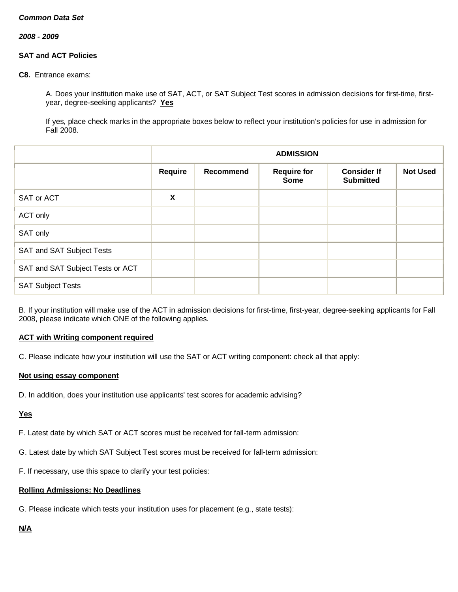*2008 - 2009*

## **SAT and ACT Policies**

**C8.** Entrance exams:

A. Does your institution make use of SAT, ACT, or SAT Subject Test scores in admission decisions for first-time, firstyear, degree-seeking applicants? **Yes**

If yes, place check marks in the appropriate boxes below to reflect your institution's policies for use in admission for Fall 2008.

|                                  |         | <b>ADMISSION</b>                                                                                            |  |  |  |  |  |
|----------------------------------|---------|-------------------------------------------------------------------------------------------------------------|--|--|--|--|--|
|                                  | Require | <b>Not Used</b><br>Recommend<br><b>Consider If</b><br><b>Require for</b><br><b>Submitted</b><br><b>Some</b> |  |  |  |  |  |
| SAT or ACT                       | X       |                                                                                                             |  |  |  |  |  |
| ACT only                         |         |                                                                                                             |  |  |  |  |  |
| SAT only                         |         |                                                                                                             |  |  |  |  |  |
| SAT and SAT Subject Tests        |         |                                                                                                             |  |  |  |  |  |
| SAT and SAT Subject Tests or ACT |         |                                                                                                             |  |  |  |  |  |
| <b>SAT Subject Tests</b>         |         |                                                                                                             |  |  |  |  |  |

B. If your institution will make use of the ACT in admission decisions for first-time, first-year, degree-seeking applicants for Fall 2008, please indicate which ONE of the following applies.

## **ACT with Writing component required**

C. Please indicate how your institution will use the SAT or ACT writing component: check all that apply:

## **Not using essay component**

D. In addition, does your institution use applicants' test scores for academic advising?

## **Yes**

F. Latest date by which SAT or ACT scores must be received for fall-term admission:

- G. Latest date by which SAT Subject Test scores must be received for fall-term admission:
- F. If necessary, use this space to clarify your test policies:

# **Rolling Admissions: No Deadlines**

G. Please indicate which tests your institution uses for placement (e.g., state tests):

## **N/A**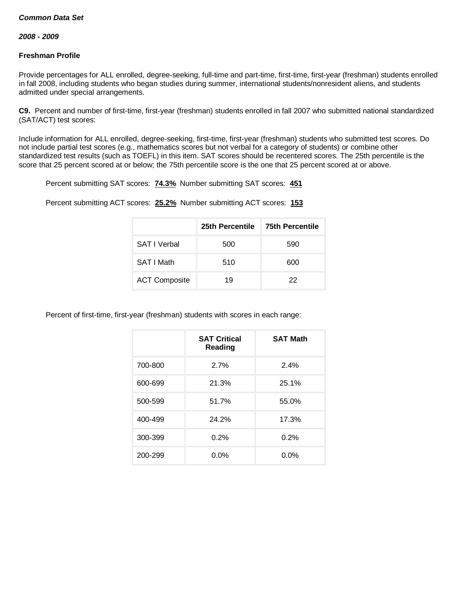#### *2008 - 2009*

## **Freshman Profile**

Provide percentages for ALL enrolled, degree-seeking, full-time and part-time, first-time, first-year (freshman) students enrolled in fall 2008, including students who began studies during summer, international students/nonresident aliens, and students admitted under special arrangements.

**C9.** Percent and number of first-time, first-year (freshman) students enrolled in fall 2007 who submitted national standardized (SAT/ACT) test scores:

Include information for ALL enrolled, degree-seeking, first-time, first-year (freshman) students who submitted test scores. Do not include partial test scores (e.g., mathematics scores but not verbal for a category of students) or combine other standardized test results (such as TOEFL) in this item. SAT scores should be recentered scores. The 25th percentile is the score that 25 percent scored at or below; the 75th percentile score is the one that 25 percent scored at or above.

Percent submitting SAT scores: **74.3%** Number submitting SAT scores: **451**

Percent submitting ACT scores: **25.2%** Number submitting ACT scores: **153**

|                      | 25th Percentile | <b>75th Percentile</b> |
|----------------------|-----------------|------------------------|
| <b>SAT I Verbal</b>  | 500             | 590                    |
| SAT I Math           | 510             | 600                    |
| <b>ACT Composite</b> | 19              | 22                     |

Percent of first-time, first-year (freshman) students with scores in each range:

|         | <b>SAT Critical</b><br>Reading | <b>SAT Math</b> |  |
|---------|--------------------------------|-----------------|--|
| 700-800 | 2.7%                           | 2.4%            |  |
| 600-699 | 21.3%                          | 25.1%           |  |
| 500-599 | 51.7%                          | 55.0%           |  |
| 400-499 | 24.2%                          | 17.3%           |  |
| 300-399 | 0.2%                           | 0.2%            |  |
| 200-299 | $0.0\%$                        | $0.0\%$         |  |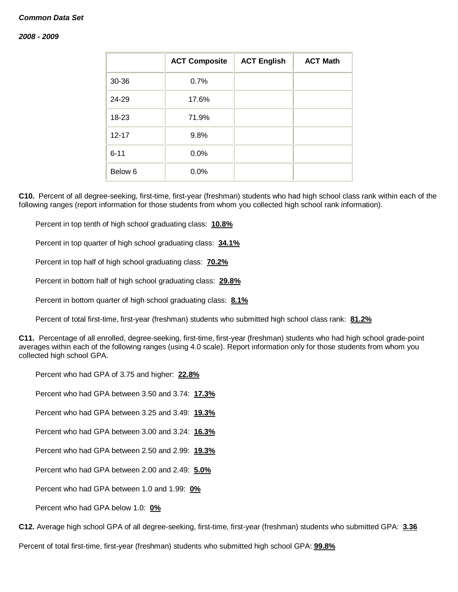#### *2008 - 2009*

|                    | <b>ACT Composite</b> | <b>ACT English</b> | <b>ACT Math</b> |
|--------------------|----------------------|--------------------|-----------------|
| 30-36              | 0.7%                 |                    |                 |
| 24-29              | 17.6%                |                    |                 |
| 18-23              | 71.9%                |                    |                 |
| $12 - 17$          | 9.8%                 |                    |                 |
| $6 - 11$           | 0.0%                 |                    |                 |
| Below <sub>6</sub> | 0.0%                 |                    |                 |

**C10.** Percent of all degree-seeking, first-time, first-year (freshman) students who had high school class rank within each of the following ranges (report information for those students from whom you collected high school rank information).

Percent in top tenth of high school graduating class: **10.8%**

Percent in top quarter of high school graduating class: **34.1%**

Percent in top half of high school graduating class: **70.2%**

Percent in bottom half of high school graduating class: **29.8%**

Percent in bottom quarter of high school graduating class: **8.1%**

Percent of total first-time, first-year (freshman) students who submitted high school class rank: **81.2%**

**C11.** Percentage of all enrolled, degree-seeking, first-time, first-year (freshman) students who had high school grade-point averages within each of the following ranges (using 4.0 scale). Report information only for those students from whom you collected high school GPA.

Percent who had GPA of 3.75 and higher: **22.8%**

Percent who had GPA between 3.50 and 3.74: **17.3%**

Percent who had GPA between 3.25 and 3.49: **19.3%**

Percent who had GPA between 3.00 and 3.24: **16.3%**

Percent who had GPA between 2.50 and 2.99: **19.3%**

Percent who had GPA between 2.00 and 2.49: **5.0%**

Percent who had GPA between 1.0 and 1.99: **0%**

Percent who had GPA below 1.0: **0%**

**C12.** Average high school GPA of all degree-seeking, first-time, first-year (freshman) students who submitted GPA: **3.36**

Percent of total first-time, first-year (freshman) students who submitted high school GPA: **99.8%**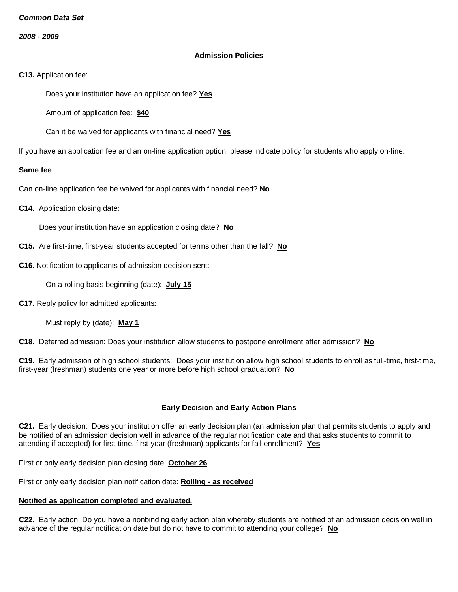*2008 - 2009*

### **Admission Policies**

**C13.** Application fee:

Does your institution have an application fee? **Yes**

Amount of application fee: **\$40**

Can it be waived for applicants with financial need? **Yes**

If you have an application fee and an on-line application option, please indicate policy for students who apply on-line:

#### **Same fee**

Can on-line application fee be waived for applicants with financial need? **No**

**C14.** Application closing date:

Does your institution have an application closing date? **No**

- **C15.** Are first-time, first-year students accepted for terms other than the fall? **No**
- **C16.** Notification to applicants of admission decision sent:

On a rolling basis beginning (date): **July 15**

**C17.** Reply policy for admitted applicants*:*

Must reply by (date): **May 1**

**C18.** Deferred admission: Does your institution allow students to postpone enrollment after admission? **No**

**C19.** Early admission of high school students: Does your institution allow high school students to enroll as full-time, first-time, first-year (freshman) students one year or more before high school graduation? **No**

## **Early Decision and Early Action Plans**

**C21.** Early decision: Does your institution offer an early decision plan (an admission plan that permits students to apply and be notified of an admission decision well in advance of the regular notification date and that asks students to commit to attending if accepted) for first-time, first-year (freshman) applicants for fall enrollment? **Yes**

First or only early decision plan closing date: **October 26**

First or only early decision plan notification date: **Rolling - as received**

# **Notified as application completed and evaluated.**

**C22.** Early action: Do you have a nonbinding early action plan whereby students are notified of an admission decision well in advance of the regular notification date but do not have to commit to attending your college? **No**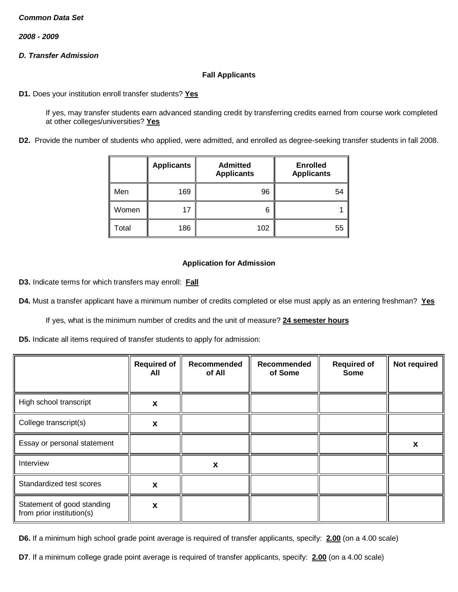*2008 - 2009*

## *D. Transfer Admission*

## **Fall Applicants**

**D1.** Does your institution enroll transfer students? **Yes**

If yes, may transfer students earn advanced standing credit by transferring credits earned from course work completed at other colleges/universities? **Yes**

**D2.** Provide the number of students who applied, were admitted, and enrolled as degree-seeking transfer students in fall 2008.

|       | <b>Applicants</b> | <b>Admitted</b><br><b>Enrolled</b><br><b>Applicants</b><br><b>Applicants</b> |    |
|-------|-------------------|------------------------------------------------------------------------------|----|
| Men   | 169               | 96                                                                           | 54 |
| Women | 17                | 6                                                                            |    |
| Total | 186               | 102                                                                          | 55 |

### **Application for Admission**

**D3.** Indicate terms for which transfers may enroll: **Fall**

**D4.** Must a transfer applicant have a minimum number of credits completed or else must apply as an entering freshman? **Yes**

If yes, what is the minimum number of credits and the unit of measure? **24 semester hours**

**D5.** Indicate all items required of transfer students to apply for admission:

|                                                         | <b>Required of</b><br>All | Recommended<br>of All | Recommended<br>of Some | <b>Required of</b><br><b>Some</b> | Not required |
|---------------------------------------------------------|---------------------------|-----------------------|------------------------|-----------------------------------|--------------|
| High school transcript                                  | X                         |                       |                        |                                   |              |
| College transcript(s)                                   | X                         |                       |                        |                                   |              |
| Essay or personal statement                             |                           |                       |                        |                                   | X            |
| Interview                                               |                           | X                     |                        |                                   |              |
| Standardized test scores                                | X                         |                       |                        |                                   |              |
| Statement of good standing<br>from prior institution(s) | X                         |                       |                        |                                   |              |

**D6.** If a minimum high school grade point average is required of transfer applicants, specify: **2.00** (on a 4.00 scale)

**D7**. If a minimum college grade point average is required of transfer applicants, specify: **2.00** (on a 4.00 scale)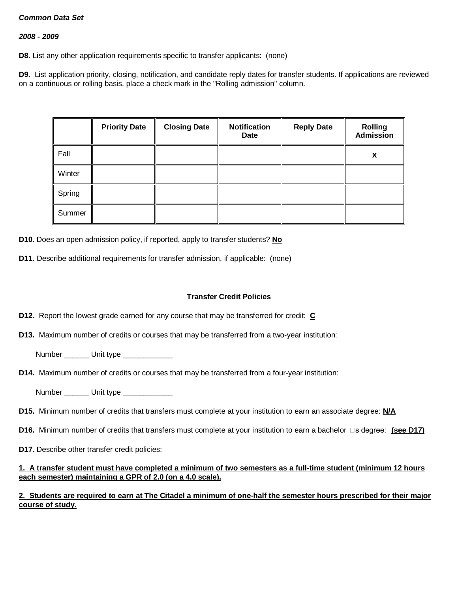### *2008 - 2009*

**D8**. List any other application requirements specific to transfer applicants: (none)

**D9.** List application priority, closing, notification, and candidate reply dates for transfer students. If applications are reviewed on a continuous or rolling basis, place a check mark in the "Rolling admission" column.

|        | <b>Priority Date</b> | <b>Closing Date</b> | <b>Notification</b><br><b>Date</b> | <b>Reply Date</b> | <b>Rolling</b><br><b>Admission</b> |
|--------|----------------------|---------------------|------------------------------------|-------------------|------------------------------------|
| Fall   |                      |                     |                                    |                   | X                                  |
| Winter |                      |                     |                                    |                   |                                    |
| Spring |                      |                     |                                    |                   |                                    |
| Summer |                      |                     |                                    |                   |                                    |

**D10.** Does an open admission policy, if reported, apply to transfer students? **No**

**D11**. Describe additional requirements for transfer admission, if applicable: (none)

#### **Transfer Credit Policies**

- **D12.** Report the lowest grade earned for any course that may be transferred for credit: **C**
- **D13.** Maximum number of credits or courses that may be transferred from a two-year institution:
	- Number Unit type
- **D14.** Maximum number of credits or courses that may be transferred from a four-year institution:
	- Number **Unit type**
- **D15.** Minimum number of credits that transfers must complete at your institution to earn an associate degree: **N/A**
- **D16.** Minimum number of credits that transfers must complete at your institution to earn a bachelor  $\Box$ s degree: (see D17)
- **D17.** Describe other transfer credit policies:

### **1. A transfer student must have completed a minimum of two semesters as a full-time student (minimum 12 hours each semester) maintaining a GPR of 2.0 (on a 4.0 scale).**

## **2. Students are required to earn at The Citadel a minimum of one-half the semester hours prescribed for their major course of study.**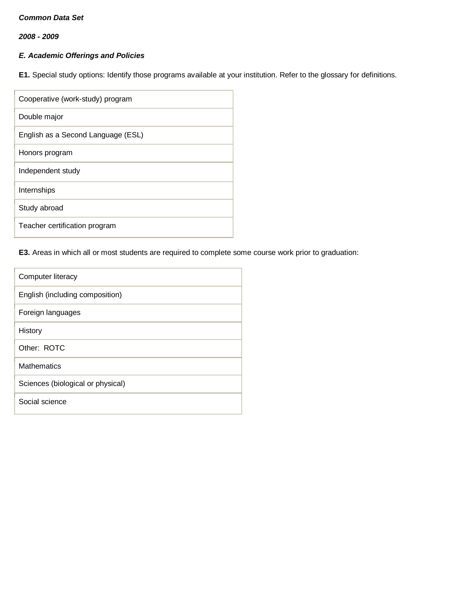*2008 - 2009*

# *E. Academic Offerings and Policies*

**E1.** Special study options: Identify those programs available at your institution. Refer to the glossary for definitions.

| Cooperative (work-study) program   |
|------------------------------------|
| Double major                       |
| English as a Second Language (ESL) |
| Honors program                     |
| Independent study                  |
| Internships                        |
| Study abroad                       |
| Teacher certification program      |

# **E3.** Areas in which all or most students are required to complete some course work prior to graduation:

| Computer literacy                 |
|-----------------------------------|
| English (including composition)   |
| Foreign languages                 |
| History                           |
| Other: ROTC                       |
| Mathematics                       |
| Sciences (biological or physical) |
| Social science                    |
|                                   |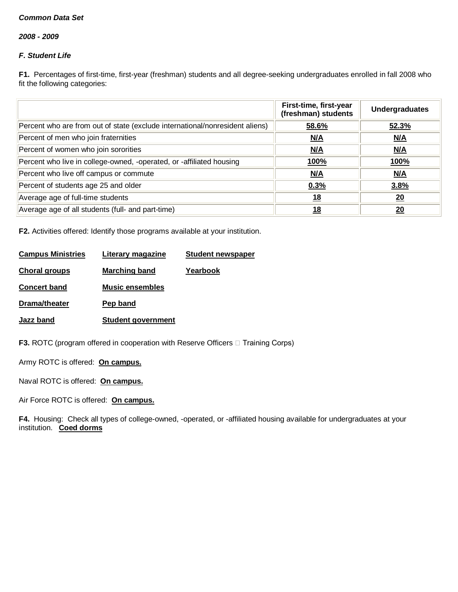*2008 - 2009*

# *F. Student Life*

**F1.** Percentages of first-time, first-year (freshman) students and all degree-seeking undergraduates enrolled in fall 2008 who fit the following categories:

|                                                                              | First-time, first-year<br>(freshman) students | <b>Undergraduates</b> |
|------------------------------------------------------------------------------|-----------------------------------------------|-----------------------|
| Percent who are from out of state (exclude international/nonresident aliens) | 58.6%                                         | 52.3%                 |
| Percent of men who join fraternities                                         | N/A                                           | N/A                   |
| Percent of women who join sororities                                         | N/A                                           | N/A                   |
| Percent who live in college-owned, -operated, or -affiliated housing         | <u>100%</u>                                   | <u>100%</u>           |
| Percent who live off campus or commute                                       | N/A                                           | N/A                   |
| Percent of students age 25 and older                                         | 0.3%                                          | 3.8%                  |
| Average age of full-time students                                            | <u>18</u>                                     | 20                    |
| Average age of all students (full- and part-time)                            | 18                                            | 20                    |

**F2.** Activities offered: Identify those programs available at your institution.

| <b>Campus Ministries</b> | Literary magazine         | <b>Student newspaper</b> |
|--------------------------|---------------------------|--------------------------|
| <b>Choral groups</b>     | <b>Marching band</b>      | Yearbook                 |
| <b>Concert band</b>      | <b>Music ensembles</b>    |                          |
| Drama/theater            | Pep band                  |                          |
| <b>Jazz band</b>         | <b>Student government</b> |                          |
|                          |                           |                          |

**F3.** ROTC (program offered in cooperation with Reserve Officers  $\Box$  Training Corps)

Army ROTC is offered: **On campus.**

Naval ROTC is offered: **On campus.**

Air Force ROTC is offered: **On campus.**

**F4.** Housing: Check all types of college-owned, -operated, or -affiliated housing available for undergraduates at your institution. **Coed dorms**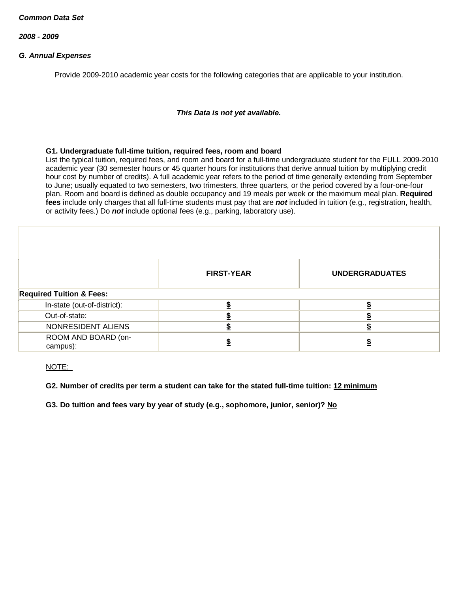*2008 - 2009*

## *G. Annual Expenses*

Provide 2009-2010 academic year costs for the following categories that are applicable to your institution.

### *This Data is not yet available.*

#### **G1. Undergraduate full-time tuition, required fees, room and board**

List the typical tuition, required fees, and room and board for a full-time undergraduate student for the FULL 2009-2010 academic year (30 semester hours or 45 quarter hours for institutions that derive annual tuition by multiplying credit hour cost by number of credits). A full academic year refers to the period of time generally extending from September to June; usually equated to two semesters, two trimesters, three quarters, or the period covered by a four-one-four plan. Room and board is defined as double occupancy and 19 meals per week or the maximum meal plan. **Required fees** include only charges that all full-time students must pay that are *not* included in tuition (e.g., registration, health, or activity fees.) Do *not* include optional fees (e.g., parking, laboratory use).

|                                     | <b>FIRST-YEAR</b> | <b>UNDERGRADUATES</b> |
|-------------------------------------|-------------------|-----------------------|
| <b>Required Tuition &amp; Fees:</b> |                   |                       |
| In-state (out-of-district):         |                   |                       |
| Out-of-state:                       |                   |                       |
| NONRESIDENT ALIENS                  |                   |                       |
| ROOM AND BOARD (on-<br>campus):     |                   |                       |

NOTE:

## **G2. Number of credits per term a student can take for the stated full-time tuition: 12 minimum**

**G3. Do tuition and fees vary by year of study (e.g., sophomore, junior, senior)? No**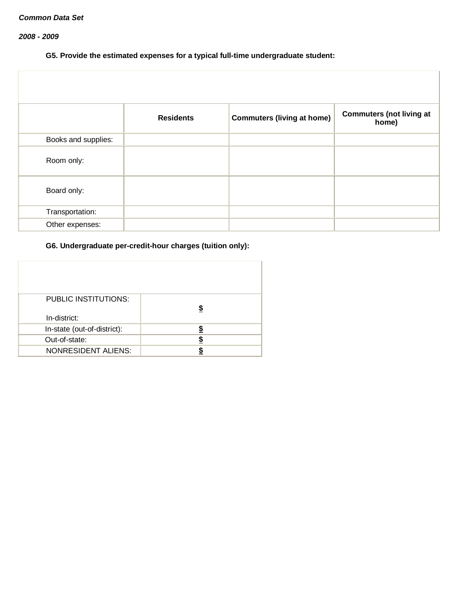## *2008 - 2009*

# **G5. Provide the estimated expenses for a typical full-time undergraduate student:**

|                     | <b>Residents</b> | <b>Commuters (living at home)</b> | <b>Commuters (not living at</b><br>home) |
|---------------------|------------------|-----------------------------------|------------------------------------------|
| Books and supplies: |                  |                                   |                                          |
| Room only:          |                  |                                   |                                          |
| Board only:         |                  |                                   |                                          |
| Transportation:     |                  |                                   |                                          |
| Other expenses:     |                  |                                   |                                          |

# **G6. Undergraduate per-credit-hour charges (tuition only):**

| <b>PUBLIC INSTITUTIONS:</b><br>In-district: | \$ |
|---------------------------------------------|----|
| In-state (out-of-district):                 |    |
| Out-of-state:                               |    |
| <b>NONRESIDENT ALIENS:</b>                  |    |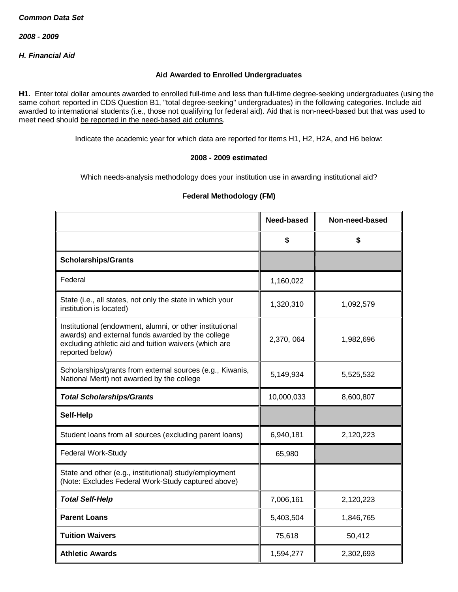*H. Financial Aid*

### **Aid Awarded to Enrolled Undergraduates**

**H1.** Enter total dollar amounts awarded to enrolled full-time and less than full-time degree-seeking undergraduates (using the same cohort reported in CDS Question B1, "total degree-seeking" undergraduates) in the following categories. Include aid awarded to international students (i.e., those not qualifying for federal aid). Aid that is non-need-based but that was used to meet need should be reported in the need-based aid columns.

Indicate the academic year for which data are reported for items H1, H2, H2A, and H6 below:

#### **2008 - 2009 estimated**

Which needs-analysis methodology does your institution use in awarding institutional aid?

# **Federal Methodology (FM)**

|                                                                                                                                                                                           | Need-based | Non-need-based |
|-------------------------------------------------------------------------------------------------------------------------------------------------------------------------------------------|------------|----------------|
|                                                                                                                                                                                           | \$         | \$             |
| <b>Scholarships/Grants</b>                                                                                                                                                                |            |                |
| Federal                                                                                                                                                                                   | 1,160,022  |                |
| State (i.e., all states, not only the state in which your<br>institution is located)                                                                                                      | 1,320,310  | 1,092,579      |
| Institutional (endowment, alumni, or other institutional<br>awards) and external funds awarded by the college<br>excluding athletic aid and tuition waivers (which are<br>reported below) | 2,370, 064 | 1,982,696      |
| Scholarships/grants from external sources (e.g., Kiwanis,<br>National Merit) not awarded by the college                                                                                   | 5,149,934  | 5,525,532      |
| <b>Total Scholarships/Grants</b>                                                                                                                                                          | 10,000,033 | 8,600,807      |
| Self-Help                                                                                                                                                                                 |            |                |
| Student loans from all sources (excluding parent loans)                                                                                                                                   | 6,940,181  | 2,120,223      |
| Federal Work-Study                                                                                                                                                                        | 65,980     |                |
| State and other (e.g., institutional) study/employment<br>(Note: Excludes Federal Work-Study captured above)                                                                              |            |                |
| <b>Total Self-Help</b>                                                                                                                                                                    | 7,006,161  | 2,120,223      |
| <b>Parent Loans</b>                                                                                                                                                                       | 5,403,504  | 1,846,765      |
| <b>Tuition Waivers</b>                                                                                                                                                                    | 75,618     | 50,412         |
| <b>Athletic Awards</b>                                                                                                                                                                    | 1,594,277  | 2,302,693      |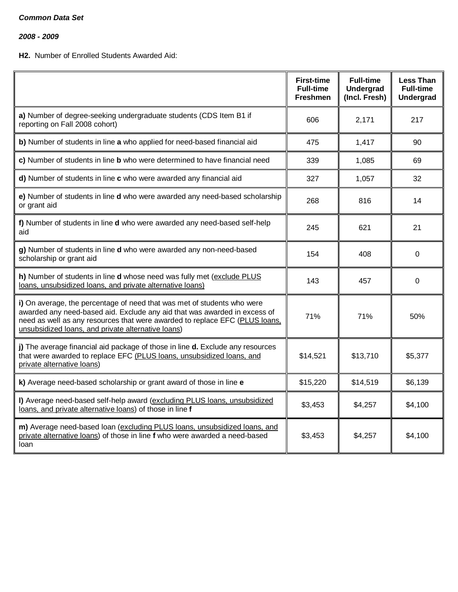*2008 - 2009*

# **H2.** Number of Enrolled Students Awarded Aid:

|                                                                                                                                                                                                                                                                                           | <b>First-time</b><br><b>Full-time</b><br><b>Freshmen</b> | <b>Full-time</b><br><b>Undergrad</b><br>(Incl. Fresh) | <b>Less Than</b><br><b>Full-time</b><br><b>Undergrad</b> |
|-------------------------------------------------------------------------------------------------------------------------------------------------------------------------------------------------------------------------------------------------------------------------------------------|----------------------------------------------------------|-------------------------------------------------------|----------------------------------------------------------|
| a) Number of degree-seeking undergraduate students (CDS Item B1 if<br>reporting on Fall 2008 cohort)                                                                                                                                                                                      | 606                                                      | 2,171                                                 | 217                                                      |
| b) Number of students in line a who applied for need-based financial aid                                                                                                                                                                                                                  | 475                                                      | 1,417                                                 | 90                                                       |
| c) Number of students in line b who were determined to have financial need                                                                                                                                                                                                                | 339                                                      | 1,085                                                 | 69                                                       |
| d) Number of students in line c who were awarded any financial aid                                                                                                                                                                                                                        | 327                                                      | 1,057                                                 | 32                                                       |
| e) Number of students in line d who were awarded any need-based scholarship<br>or grant aid                                                                                                                                                                                               | 268                                                      | 816                                                   | 14                                                       |
| f) Number of students in line d who were awarded any need-based self-help<br>aid                                                                                                                                                                                                          | 245                                                      | 621                                                   | 21                                                       |
| g) Number of students in line d who were awarded any non-need-based<br>scholarship or grant aid                                                                                                                                                                                           | 154                                                      | 408                                                   | 0                                                        |
| h) Number of students in line d whose need was fully met (exclude PLUS<br>loans, unsubsidized loans, and private alternative loans)                                                                                                                                                       | 143                                                      | 457                                                   | $\Omega$                                                 |
| i) On average, the percentage of need that was met of students who were<br>awarded any need-based aid. Exclude any aid that was awarded in excess of<br>need as well as any resources that were awarded to replace EFC (PLUS loans,<br>unsubsidized loans, and private alternative loans) | 71%                                                      | 71%                                                   | 50%                                                      |
| j) The average financial aid package of those in line d. Exclude any resources<br>that were awarded to replace EFC (PLUS loans, unsubsidized loans, and<br>private alternative loans)                                                                                                     | \$14,521                                                 | \$13,710                                              | \$5,377                                                  |
| k) Average need-based scholarship or grant award of those in line e                                                                                                                                                                                                                       | \$15,220                                                 | \$14,519                                              | \$6,139                                                  |
| I) Average need-based self-help award (excluding PLUS loans, unsubsidized<br>loans, and private alternative loans) of those in line f                                                                                                                                                     | \$3,453                                                  | \$4,257                                               | \$4,100                                                  |
| m) Average need-based loan (excluding PLUS loans, unsubsidized loans, and<br>private alternative loans) of those in line f who were awarded a need-based<br>loan                                                                                                                          | \$3,453                                                  | \$4,257                                               | \$4,100                                                  |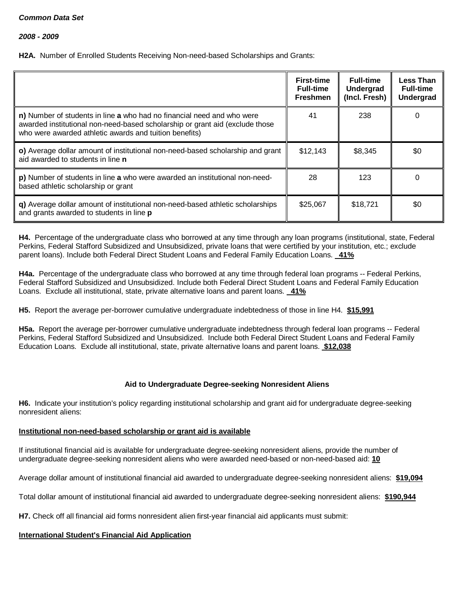**H2A.** Number of Enrolled Students Receiving Non-need-based Scholarships and Grants:

|                                                                                                                                                                                                                  | <b>First-time</b><br><b>Full-time</b><br><b>Freshmen</b> | <b>Full-time</b><br>Undergrad<br>(Incl. Fresh) | <b>Less Than</b><br><b>Full-time</b><br><b>Undergrad</b> |
|------------------------------------------------------------------------------------------------------------------------------------------------------------------------------------------------------------------|----------------------------------------------------------|------------------------------------------------|----------------------------------------------------------|
| n) Number of students in line a who had no financial need and who were<br>awarded institutional non-need-based scholarship or grant aid (exclude those<br>who were awarded athletic awards and tuition benefits) | 41                                                       | 238                                            | 0                                                        |
| o) Average dollar amount of institutional non-need-based scholarship and grant<br>aid awarded to students in line <b>n</b>                                                                                       | \$12,143                                                 | \$8,345                                        | \$0                                                      |
| p) Number of students in line a who were awarded an institutional non-need-<br>based athletic scholarship or grant                                                                                               | 28                                                       | 123                                            | 0                                                        |
| q) Average dollar amount of institutional non-need-based athletic scholarships<br>and grants awarded to students in line p                                                                                       | \$25,067                                                 | \$18,721                                       | \$0                                                      |

**H4.** Percentage of the undergraduate class who borrowed at any time through any loan programs (institutional, state, Federal Perkins, Federal Stafford Subsidized and Unsubsidized, private loans that were certified by your institution, etc.; exclude parent loans). Include both Federal Direct Student Loans and Federal Family Education Loans. **41%**

**H4a.** Percentage of the undergraduate class who borrowed at any time through federal loan programs -- Federal Perkins, Federal Stafford Subsidized and Unsubsidized. Include both Federal Direct Student Loans and Federal Family Education Loans. Exclude all institutional, state, private alternative loans and parent loans. **41%**

**H5.** Report the average per-borrower cumulative undergraduate indebtedness of those in line H4. **\$15,991**

**H5a.** Report the average per-borrower cumulative undergraduate indebtedness through federal loan programs -- Federal Perkins, Federal Stafford Subsidized and Unsubsidized. Include both Federal Direct Student Loans and Federal Family Education Loans. Exclude all institutional, state, private alternative loans and parent loans. **\$12,038**

# **Aid to Undergraduate Degree-seeking Nonresident Aliens**

**H6.** Indicate your institution's policy regarding institutional scholarship and grant aid for undergraduate degree-seeking nonresident aliens:

## **Institutional non-need-based scholarship or grant aid is available**

If institutional financial aid is available for undergraduate degree-seeking nonresident aliens, provide the number of undergraduate degree-seeking nonresident aliens who were awarded need-based or non-need-based aid: **10**

Average dollar amount of institutional financial aid awarded to undergraduate degree-seeking nonresident aliens: **\$19,094**

Total dollar amount of institutional financial aid awarded to undergraduate degree-seeking nonresident aliens: **\$190,944**

**H7.** Check off all financial aid forms nonresident alien first-year financial aid applicants must submit:

## **International Student's Financial Aid Application**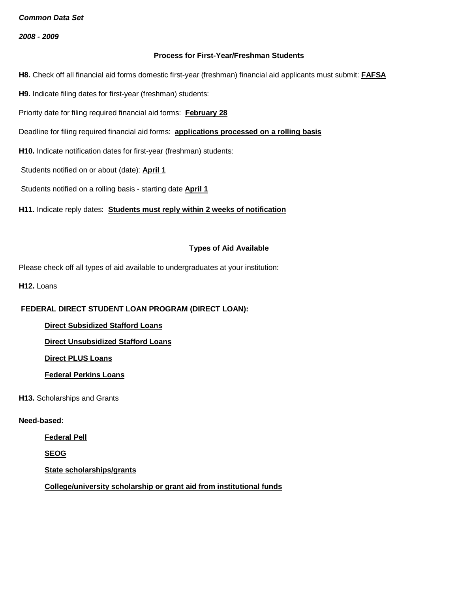*2008 - 2009*

### **Process for First-Year/Freshman Students**

**H8.** Check off all financial aid forms domestic first-year (freshman) financial aid applicants must submit: **FAFSA**

**H9.** Indicate filing dates for first-year (freshman) students:

Priority date for filing required financial aid forms: **February 28**

Deadline for filing required financial aid forms: **applications processed on a rolling basis**

**H10.** Indicate notification dates for first-year (freshman) students:

Students notified on or about (date): **April 1**

Students notified on a rolling basis - starting date **April 1**

**H11.** Indicate reply dates: **Students must reply within 2 weeks of notification**

#### **Types of Aid Available**

Please check off all types of aid available to undergraduates at your institution:

**H12. Loans** 

## **FEDERAL DIRECT STUDENT LOAN PROGRAM (DIRECT LOAN):**

**Direct Subsidized Stafford Loans**

**Direct Unsubsidized Stafford Loans**

**Direct PLUS Loans**

**Federal Perkins Loans**

**H13.** Scholarships and Grants

#### **Need-based:**

**Federal Pell**

**SEOG**

**State scholarships/grants**

**College/university scholarship or grant aid from institutional funds**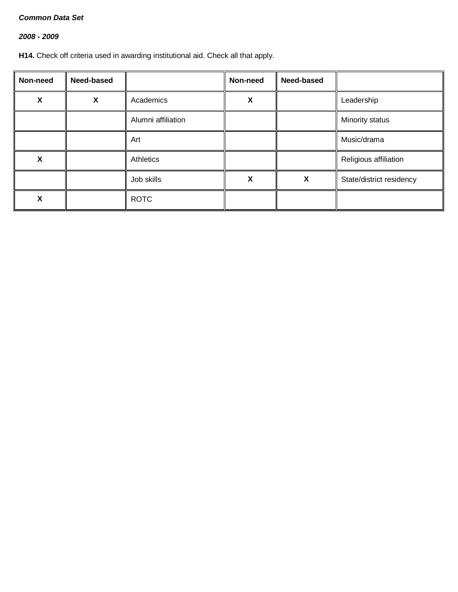# *2008 - 2009*

**H14.** Check off criteria used in awarding institutional aid. Check all that apply.

| Non-need | Need-based |                    | Non-need | <b>Need-based</b> |                          |
|----------|------------|--------------------|----------|-------------------|--------------------------|
| χ        | X          | Academics          | X        |                   | Leadership               |
|          |            | Alumni affiliation |          |                   | Minority status          |
|          |            | Art                |          |                   | Music/drama              |
| χ        |            | Athletics          |          |                   | Religious affiliation    |
|          |            | Job skills         | X        | X                 | State/district residency |
| ⋏        |            | <b>ROTC</b>        |          |                   |                          |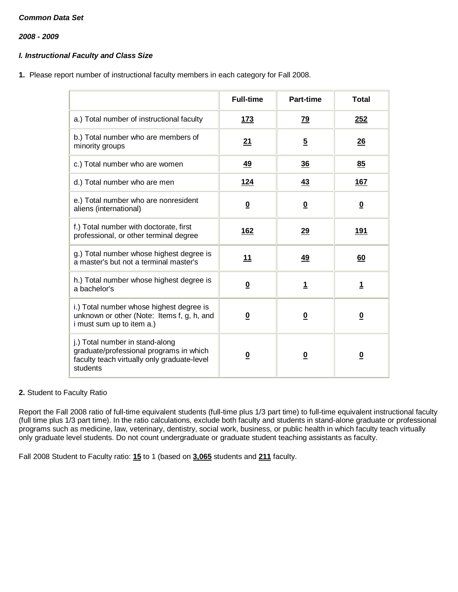*2008 - 2009*

## *I. Instructional Faculty and Class Size*

**1.** Please report number of instructional faculty members in each category for Fall 2008.

|                                                                                                                                       | <b>Full-time</b>        | Part-time               | <b>Total</b>            |
|---------------------------------------------------------------------------------------------------------------------------------------|-------------------------|-------------------------|-------------------------|
| a.) Total number of instructional faculty                                                                                             | <u>173</u>              | <u>79</u>               | 252                     |
| b.) Total number who are members of<br>minority groups                                                                                | 21                      | $\overline{5}$          | 26                      |
| c.) Total number who are women                                                                                                        | 49                      | 36                      | 85                      |
| d.) Total number who are men                                                                                                          | <u>124</u>              | 43                      | 167                     |
| e.) Total number who are nonresident<br>aliens (international)                                                                        | $\overline{\mathbf{0}}$ | $\overline{\mathbf{0}}$ | $\overline{\mathbf{0}}$ |
| f.) Total number with doctorate, first<br>professional, or other terminal degree                                                      | 162                     | 29                      | 191                     |
| g.) Total number whose highest degree is<br>a master's but not a terminal master's                                                    | 11                      | <u>49</u>               | 60                      |
| h.) Total number whose highest degree is<br>a bachelor's                                                                              | $\overline{\mathbf{0}}$ | $\overline{1}$          | 1                       |
| i.) Total number whose highest degree is<br>unknown or other (Note: Items f, g, h, and<br>i must sum up to item a.)                   | $\overline{\mathbf{0}}$ | $\overline{\mathbf{0}}$ | $\overline{\mathbf{0}}$ |
| j.) Total number in stand-along<br>graduate/professional programs in which<br>faculty teach virtually only graduate-level<br>students | $\overline{\mathbf{0}}$ | $\overline{\mathbf{0}}$ | $\overline{\mathbf{0}}$ |

## **2.** Student to Faculty Ratio

Report the Fall 2008 ratio of full-time equivalent students (full-time plus 1/3 part time) to full-time equivalent instructional faculty (full time plus 1/3 part time). In the ratio calculations, exclude both faculty and students in stand-alone graduate or professional programs such as medicine, law, veterinary, dentistry, social work, business, or public health in which faculty teach virtually only graduate level students. Do not count undergraduate or graduate student teaching assistants as faculty.

Fall 2008 Student to Faculty ratio: **15** to 1 (based on **3,065** students and **211** faculty.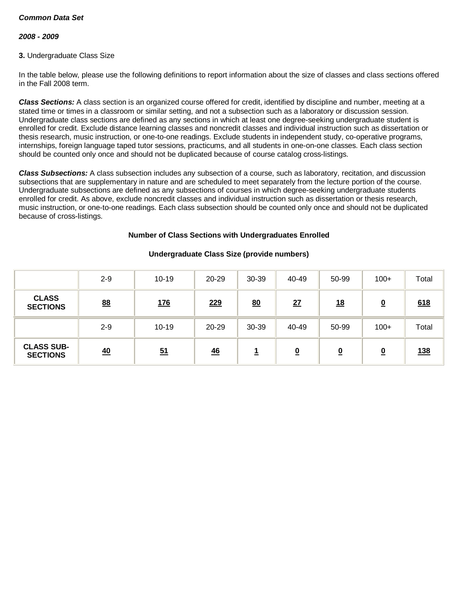### *2008 - 2009*

### **3.** Undergraduate Class Size

In the table below, please use the following definitions to report information about the size of classes and class sections offered in the Fall 2008 term.

*Class Sections:* A class section is an organized course offered for credit, identified by discipline and number, meeting at a stated time or times in a classroom or similar setting, and not a subsection such as a laboratory or discussion session. Undergraduate class sections are defined as any sections in which at least one degree-seeking undergraduate student is enrolled for credit. Exclude distance learning classes and noncredit classes and individual instruction such as dissertation or thesis research, music instruction, or one-to-one readings. Exclude students in independent study, co-operative programs, internships, foreign language taped tutor sessions, practicums, and all students in one-on-one classes. Each class section should be counted only once and should not be duplicated because of course catalog cross-listings.

*Class Subsections:* A class subsection includes any subsection of a course, such as laboratory, recitation, and discussion subsections that are supplementary in nature and are scheduled to meet separately from the lecture portion of the course. Undergraduate subsections are defined as any subsections of courses in which degree-seeking undergraduate students enrolled for credit. As above, exclude noncredit classes and individual instruction such as dissertation or thesis research, music instruction, or one-to-one readings. Each class subsection should be counted only once and should not be duplicated because of cross-listings.

### **Number of Class Sections with Undergraduates Enrolled**

|                                      | $2 - 9$   | $10 - 19$        | $20 - 29$  | 30-39 | 40-49                   | 50-99     | $100+$                  | Total      |
|--------------------------------------|-----------|------------------|------------|-------|-------------------------|-----------|-------------------------|------------|
| <b>CLASS</b><br><b>SECTIONS</b>      | <u>88</u> | <u>176</u>       | <u>229</u> | 80    | 27                      | <u>18</u> | $\overline{\mathbf{0}}$ | 618        |
|                                      | $2 - 9$   | $10 - 19$        | 20-29      | 30-39 | 40-49                   | 50-99     | $100+$                  | Total      |
| <b>CLASS SUB-</b><br><b>SECTIONS</b> | 40        | $\underline{51}$ | 46         | ÷     | $\overline{\mathbf{0}}$ | <u>0</u>  | <u>0</u>                | <u>138</u> |

## **Undergraduate Class Size (provide numbers)**